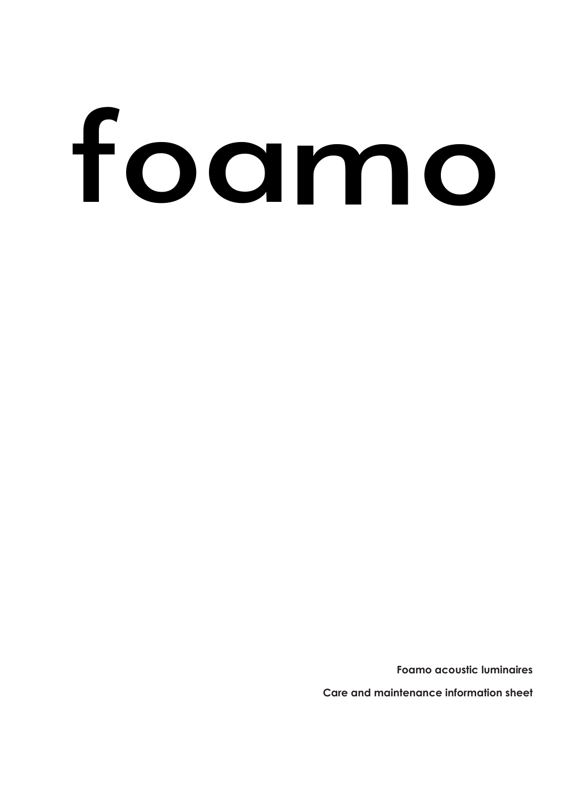# foamo

**Foamo acoustic luminaires**

**Care and maintenance information sheet**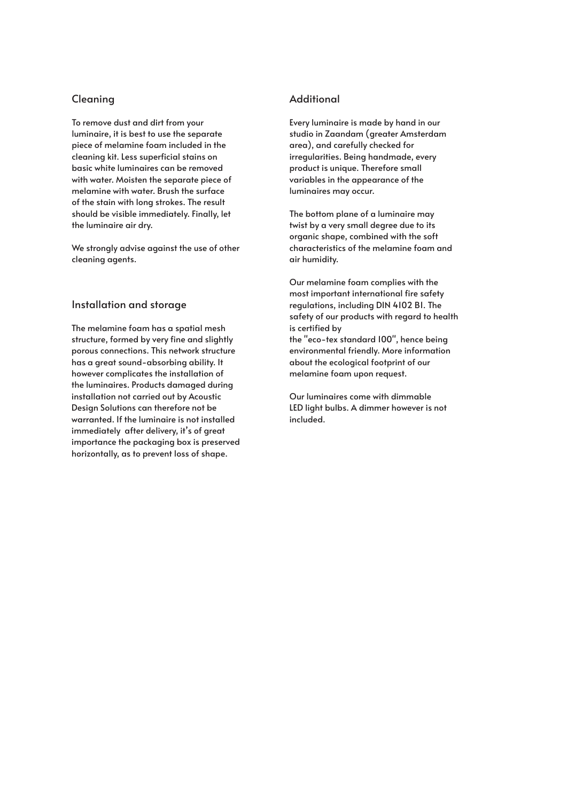# Cleaning

To remove dust and dirt from your luminaire, it is best to use the separate piece of melamine foam included in the cleaning kit. Less superficial stains on basic white luminaires can be removed with water. Moisten the separate piece of melamine with water. Brush the surface of the stain with long strokes. The result should be visible immediately. Finally, let the luminaire air dry.

We strongly advise against the use of other cleaning agents.

### Installation and storage

The melamine foam has a spatial mesh structure, formed by very fine and slightly porous connections. This network structure has a great sound-absorbing ability. It however complicates the installation of the luminaires. Products damaged during installation not carried out by Acoustic Design Solutions can therefore not be warranted. If the luminaire is not installed immediately after delivery, it's of great importance the packaging box is preserved horizontally, as to prevent loss of shape.

## **Additional**

Every luminaire is made by hand in our studio in Zaandam (greater Amsterdam area), and carefully checked for irregularities. Being handmade, every product is unique. Therefore small variables in the appearance of the luminaires may occur.

The bottom plane of a luminaire may twist by a very small degree due to its organic shape, combined with the soft characteristics of the melamine foam and air humidity.

Our melamine foam complies with the most important international fire safety regulations, including DIN 4102 B1. The safety of our products with regard to health is certified by

the "eco-tex standard 100", hence being environmental friendly. More information about the ecological footprint of our melamine foam upon request.

Our luminaires come with dimmable LED light bulbs. A dimmer however is not included.